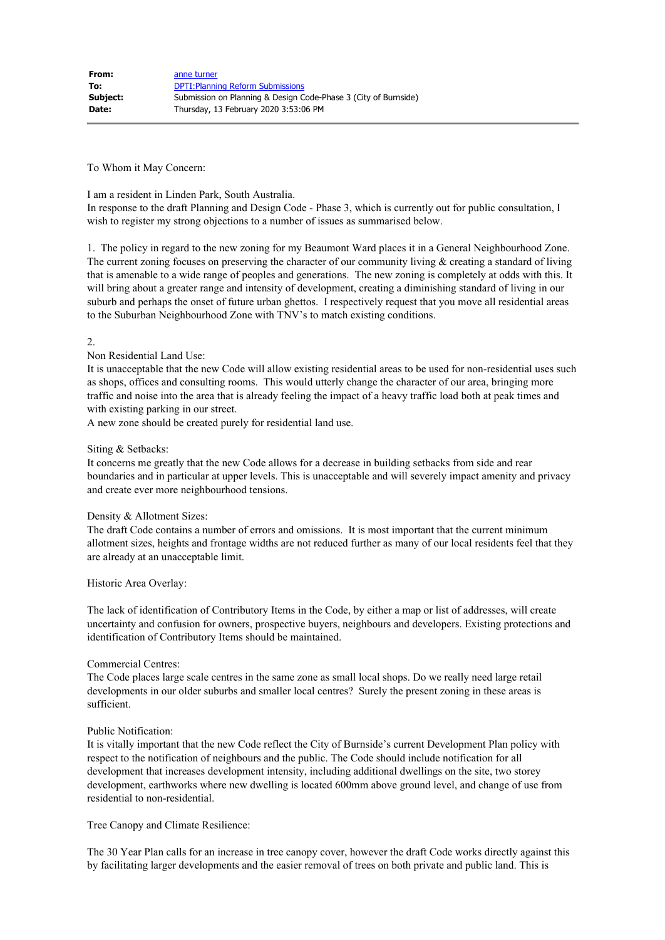To Whom it May Concern:

#### I am a resident in Linden Park, South Australia.

In response to the draft Planning and Design Code - Phase 3, which is currently out for public consultation, I wish to register my strong objections to a number of issues as summarised below.

1. The policy in regard to the new zoning for my Beaumont Ward places it in a General Neighbourhood Zone. The current zoning focuses on preserving the character of our community living  $\&$  creating a standard of living that is amenable to a wide range of peoples and generations. The new zoning is completely at odds with this. It will bring about a greater range and intensity of development, creating a diminishing standard of living in our suburb and perhaps the onset of future urban ghettos. I respectively request that you move all residential areas to the Suburban Neighbourhood Zone with TNV's to match existing conditions.

# 2.

# Non Residential Land Use:

It is unacceptable that the new Code will allow existing residential areas to be used for non-residential uses such as shops, offices and consulting rooms. This would utterly change the character of our area, bringing more traffic and noise into the area that is already feeling the impact of a heavy traffic load both at peak times and with existing parking in our street.

A new zone should be created purely for residential land use.

#### Siting & Setbacks:

It concerns me greatly that the new Code allows for a decrease in building setbacks from side and rear boundaries and in particular at upper levels. This is unacceptable and will severely impact amenity and privacy and create ever more neighbourhood tensions.

# Density & Allotment Sizes:

The draft Code contains a number of errors and omissions. It is most important that the current minimum allotment sizes, heights and frontage widths are not reduced further as many of our local residents feel that they are already at an unacceptable limit.

#### Historic Area Overlay:

The lack of identification of Contributory Items in the Code, by either a map or list of addresses, will create uncertainty and confusion for owners, prospective buyers, neighbours and developers. Existing protections and identification of Contributory Items should be maintained.

#### Commercial Centres:

The Code places large scale centres in the same zone as small local shops. Do we really need large retail developments in our older suburbs and smaller local centres? Surely the present zoning in these areas is sufficient.

# Public Notification:

It is vitally important that the new Code reflect the City of Burnside's current Development Plan policy with respect to the notification of neighbours and the public. The Code should include notification for all development that increases development intensity, including additional dwellings on the site, two storey development, earthworks where new dwelling is located 600mm above ground level, and change of use from residential to non-residential.

Tree Canopy and Climate Resilience:

The 30 Year Plan calls for an increase in tree canopy cover, however the draft Code works directly against this by facilitating larger developments and the easier removal of trees on both private and public land. This is